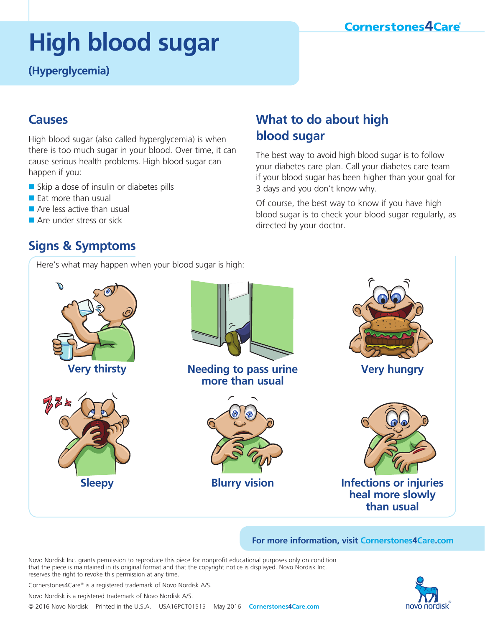### **Cornerstones4Care**®

# **High blood sugar**

**(Hyperglycemia)**

### **Causes**

High blood sugar (also called hyperglycemia) is when there is too much sugar in your blood. Over time, it can cause serious health problems. High blood sugar can happen if you:

- $\blacksquare$  Skip a dose of insulin or diabetes pills
- $\blacksquare$  Fat more than usual
- $\blacksquare$  Are less active than usual
- **n** Are under stress or sick

# **Signs & Symptoms**

Here's what may happen when your blood sugar is high:

# **What to do about high blood sugar**

The best way to avoid high blood sugar is to follow your diabetes care plan. Call your diabetes care team if your blood sugar has been higher than your goal for 3 days and you don't know why.

Of course, the best way to know if you have high blood sugar is to check your blood sugar regularly, as directed by your doctor.



**For more information, visit Cornerstones4Care.com**

Novo Nordisk Inc. grants permission to reproduce this piece for nonprofit educational purposes only on condition that the piece is maintained in its original format and that the copyright notice is displayed. Novo Nordisk Inc. reserves the right to revoke this permission at any time.



Cornerstones4Care® is a registered trademark of Novo Nordisk A/S.

Novo Nordisk is a registered trademark of Novo Nordisk A/S.